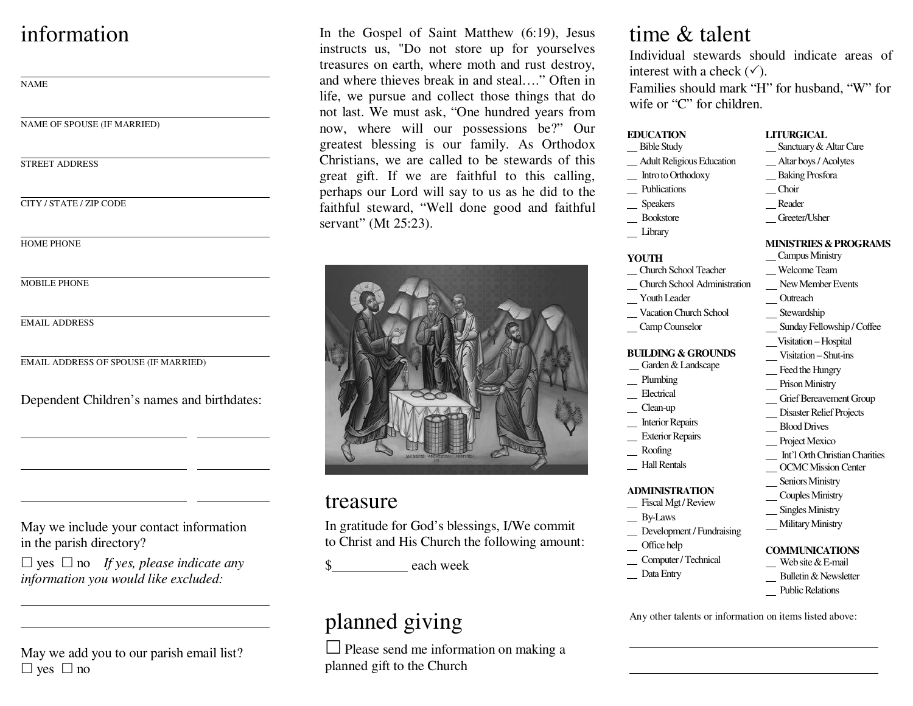# information

NAME

NAME OF SPOUSE (IF MARRIED)

STREET ADDRESS

CITY / STATE / ZIP CODE

HOME PHONE

MOBILE PHONE

EMAIL ADDRESS

EMAIL ADDRESS OF SPOUSE (IF MARRIED)

Dependent Children's names and birthdates:

May we include your contact information in the parish directory?

 $\Box$  yes  $\Box$  no *If yes, please indicate any information you would like excluded:*

May we add you to our parish email list?  $\Box$  yes  $\Box$  no

In the Gospel of Saint Matthew (6:19), Jesus instructs us, "Do not store up for yourselves treasures on earth, where moth and rust destroy, and where thieves break in and steal…." Often in life, we pursue and collect those things that do not last. We must ask, "One hundred years from now, where will our possessions be?" Our greatest blessing is our family. As Orthodox Christians, we are called to be stewards of this great gift. If we are faithful to this calling, perhaps our Lord will say to us as he did to the faithful steward, "Well done good and faithful servant" (Mt 25:23).



### treasure

In gratitude for God's blessings, I/We commit to Christ and His Church the following amount:

each week

# planned giving

 $\Box$  Please send me information on making a planned gift to the Church

## time & talent

 Individual stewards should indicate areas of interest with a check  $(\checkmark)$ .

Families should mark "H" for husband, "W" for wife or "C" for children.

#### **EDUCATION**

- Bible Study Adult Religious Education
- Intro to Orthodoxy
- \_ Publications
- Speakers
- \_\_ Bookstore
- Library

#### **YOUTH**

- Church School Teacher
- Church School Administration
- Youth Leader
- Vacation Church School
- Camp Counselor

#### **BUILDING & GROUNDS**

#### Garden & Landscape

- Plumbing
- Electrical
- Clean-up
- Interior Repairs
- Exterior Repairs
- Roofing
- Hall Rentals

#### **ADMINISTRATION**

- Fiscal Mgt / Review
- \_\_ By-Laws
- \_ Development / Fundraising
- Office help
- Computer / Technical
- \_ Data Entry

 Sanctuary & Altar Care Altar boys / Acolytes

**LITURGICAL** 

- Baking Prosfora
- Choir
- Reader
- Greeter/Usher
- **MINISTRIES & PROGRAMS**
- Campus Ministry Welcome Team
- New Member Events
- **Outreach**
- Stewardship
- Sunday Fellowship / Coffee
- Visitation Hospital
- Visitation Shut-ins
- Feed the Hungry
- Prison Ministry
- Grief Bereavement Group
- Disaster Relief Projects
- Blood Drives
- Project Mexico
- Int'l Orth Christian Charities
- OCMC Mission Center
- Seniors Ministry
- Couples Ministry
- 
- **Military Ministry**

#### **COMMUNICATIONS**

- 
- Bulletin & Newsletter
- Public Relations

Any other talents or information on items listed above:

- Singles Ministry
	-
	- Web site & E-mail